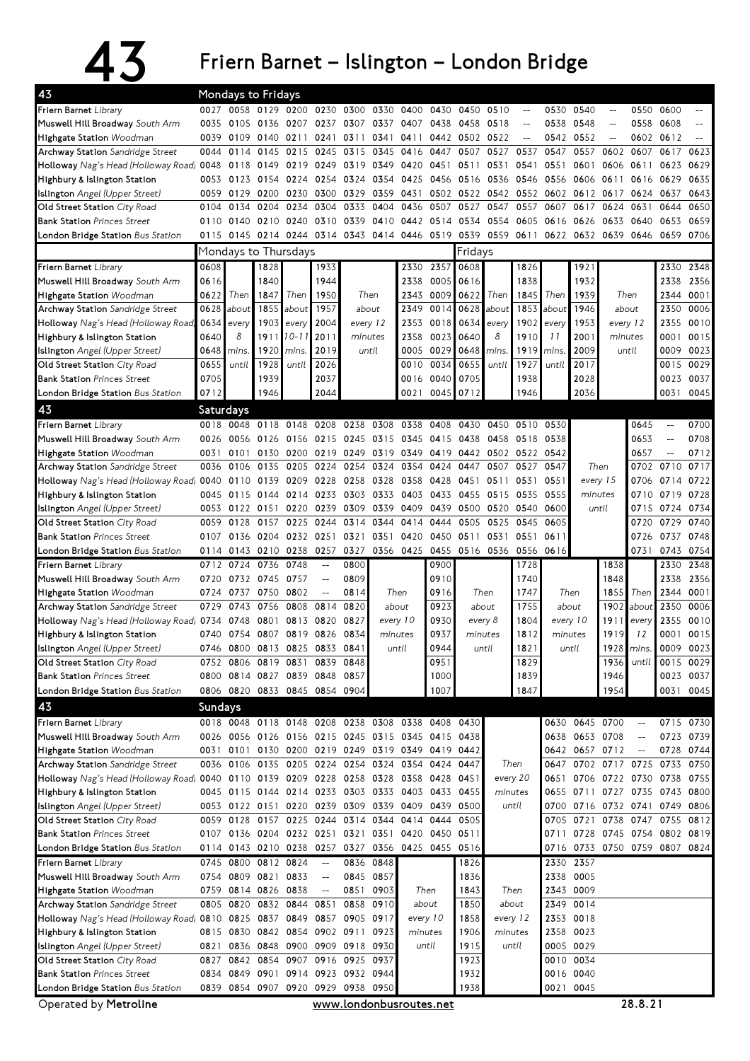## $43$  Friern Barnet – Islington – London Bridge

| 43                                                                               |           |                | Mondays to Fridays                 |           |                                                     |           |                                                             |                |                          |                |                |                                                     |           |                 |                                    |                               |                                                     |           |
|----------------------------------------------------------------------------------|-----------|----------------|------------------------------------|-----------|-----------------------------------------------------|-----------|-------------------------------------------------------------|----------------|--------------------------|----------------|----------------|-----------------------------------------------------|-----------|-----------------|------------------------------------|-------------------------------|-----------------------------------------------------|-----------|
| Friern Barnet Library                                                            |           |                |                                    |           |                                                     |           | 0027 0058 0129 0200 0230 0300 0330 0400 0430                |                |                          | 0450 0510      |                | $\hspace{0.05cm} \dashrightarrow$                   |           | 0530 0540       | $\hspace{0.05cm} -\hspace{0.05cm}$ |                               | 0550 0600                                           |           |
| Muswell Hill Broadway South Arm                                                  |           |                |                                    |           |                                                     |           | 0035 0105 0136 0207 0237 0307 0337 0407 0438                |                |                          | 0458           | 0518           | $\overline{\phantom{m}}$                            |           | 0538 0548       | $\overline{\phantom{a}}$           | 0558                          | 0608                                                | $-$       |
| Highgate Station Woodman                                                         | 0039      |                | 0109 0140 0211                     |           |                                                     |           | 0241 0311 0341 0411 0442 0502 0522                          |                |                          |                |                | $\hspace{0.05cm} -\hspace{0.05cm} -\hspace{0.05cm}$ | 0542      | 0552            | $\overline{a}$                     |                               | 0602 0612                                           |           |
| Archway Station Sandridge Street                                                 |           | 0044 0114      | 0145                               | 0215      | 0245 0315                                           |           | 0345                                                        | 0416 0447      |                          | 0507 0527      |                | 0537                                                | 0547      | 0557            | 0602                               | 0607                          | 0617                                                | 0623      |
| Holloway Nag's Head (Holloway Road) 0048                                         |           | 0118           |                                    | 0149 0219 | 0249 0319                                           |           | 0349 0420 0451 0511 0531                                    |                |                          |                |                | 0541                                                | 0551      |                 | 0601 0606                          | 0611                          | 0623                                                | 0629      |
| Highbury & Islington Station                                                     |           |                |                                    |           | 0053 0123 0154 0224 0254 0324                       |           | 0354 0425 0456 0516 0536 0546                               |                |                          |                |                |                                                     | 0556 0606 |                 |                                    | 0611 0616 0629                |                                                     | 0635      |
| Islington Angel (Upper Street)                                                   |           |                |                                    |           | 0059 0129 0200 0230 0300 0329                       |           |                                                             |                |                          |                |                | 0359 0431 0502 0522 0542 0552 0602 0612 0617        |           |                 |                                    | 0624 0637                     |                                                     | 0643      |
| Old Street Station City Road                                                     | 0104      | 0134           | 0204                               | 0234      | 0304                                                | 0333      | 0404                                                        | 0436           | 0507                     |                | 0527 0547      | 0557                                                | 0607      | 0617            | 0624                               | 0631                          | 0644                                                | 0650      |
| <b>Bank Station Princes Street</b>                                               |           | 0110 0140      |                                    | 0210 0240 | 0310                                                | 0339      | 0410                                                        |                | 0442 0514 0534 0554 0605 |                |                |                                                     | 0616 0626 |                 | 0633                               | 0640                          | 0653                                                | 0659      |
| London Bridge Station Bus Station                                                |           |                |                                    |           |                                                     |           | 0115 0145 0214 0244 0314 0343 0414 0446 0519 0539 0559 0611 |                |                          |                |                |                                                     |           |                 |                                    | 0622 0632 0639 0646 0659      |                                                     | 0706      |
|                                                                                  |           |                | Mondays to Thursdays               |           |                                                     |           |                                                             |                |                          | Fridays        |                |                                                     |           |                 |                                    |                               |                                                     |           |
| Friern Barnet Library                                                            | 0608      |                | 1828                               |           | 1933                                                |           |                                                             | 2330           | 2357                     | 0608           |                | 1826                                                |           | 1921            |                                    |                               | 2330                                                | 2348      |
| Muswell Hill Broadway South Arm                                                  | 0616      |                | 1840                               |           | 1944                                                |           |                                                             | 2338           | 0005 0616                |                |                | 1838                                                |           | 1932            |                                    |                               | 2338                                                | 2356      |
| Highgate Station Woodman                                                         | 0622      | Then           | 1847                               | Then      | 1950                                                |           | Then                                                        |                | 2343 0009 0622           |                | Then           | 1845                                                | Then      | 1939            |                                    | Then                          | 2344                                                | 0001      |
| Archway Station Sandridge Street                                                 | 0628      | about          | 1855                               | about     | 1957                                                |           | about                                                       | 2349           |                          | 0014 0628      | about          | 1853                                                | about     | 1946            |                                    | about                         | 2350                                                | 0006      |
| Holloway Nag's Head (Holloway Road)                                              | 0634      | every          | 1903                               | every     | 2004                                                |           | every 12                                                    |                | 2353 0018 0634           |                | every          | 1902                                                | every     | 1953            |                                    | every 12                      | 2355                                                | 0010      |
| Highbury & Islington Station                                                     | 0640      | 8              | 1911                               | 10-11     | 2011                                                | minutes   |                                                             |                | 2358 0023                | 0640           | 8<br>1910      |                                                     | 11        | 2001            | minutes                            |                               | 0001                                                | 0015      |
| <b>Islington</b> Angel (Upper Street)                                            | 0648      | mins.          | 1920                               | mins.     | 2019                                                |           | until                                                       |                | 0005 0029 0648           |                | mins.          | 1919                                                | mins      | 2009            |                                    | until                         | 0009                                                | 0023      |
| Old Street Station City Road                                                     | 0655      | until          | 1928                               | until     | 2026                                                |           |                                                             | 0010           | 0034                     | 0655           | until          | 1927                                                | until     | 2017            |                                    |                               | 0015                                                | 0029      |
| <b>Bank Station Princes Street</b>                                               | 0705      |                | 1939                               |           | 2037                                                |           |                                                             |                | 0016 0040 0705           |                |                | 1938                                                |           | 2028            |                                    |                               |                                                     | 0023 0037 |
| London Bridge Station Bus Station                                                | 0712      |                | 1946                               |           | 2044                                                |           |                                                             | 0021           | 0045 0712                |                |                | 1946                                                |           | 2036            |                                    |                               |                                                     | 0031 0045 |
| 43                                                                               | Saturdays |                |                                    |           |                                                     |           |                                                             |                |                          |                |                |                                                     |           |                 |                                    |                               |                                                     |           |
| Friern Barnet Library                                                            |           |                |                                    |           |                                                     |           | 0018 0048 0118 0148 0208 0238 0308 0338 0408                |                |                          | 0430           |                | 0450 0510                                           | 0530      |                 |                                    | 0645                          | $- -$                                               | 0700      |
| Muswell Hill Broadway South Arm                                                  |           | 0026 0056 0126 |                                    |           |                                                     |           | 0156 0215 0245 0315 0345 0415                               |                |                          | 0438           |                | 0458 0518                                           | 0538      |                 |                                    | 0653                          | $\hspace{0.05cm} -\hspace{0.05cm} -\hspace{0.05cm}$ | 0708      |
| Highgate Station Woodman                                                         | 0031      | 0101           | 0130                               |           |                                                     |           | 0200 0219 0249 0319 0349 0419                               |                |                          | 0442 0502 0522 |                |                                                     | 0542      |                 |                                    | 0657                          | $\overline{\phantom{0}}$                            | 0712      |
| <b>Archway Station</b> Sandridge Street                                          | 0036      | 0106           | 0135                               | 0205      | 0224                                                | 0254      | 0324                                                        |                | 0354 0424                | 0447           | 0507           | 0527                                                | 0547      |                 | Then                               | 0702                          | 0710                                                | 0717      |
| Holloway Nag's Head (Holloway Road) 0040 0110 0139 0209 0228 0258 0328           |           |                |                                    |           |                                                     |           |                                                             | 0358 0428      |                          | 0451           | 0511           | 0531                                                | 0551      |                 | every 15                           | 0706                          | 0714 0722                                           |           |
| Highbury & Islington Station                                                     |           |                |                                    |           | 0045 0115 0144 0214 0233 0303 0333                  |           |                                                             | 0403 0433      |                          |                | 0455 0515 0535 |                                                     | 0555      |                 | minutes                            | 0710                          |                                                     | 0719 0728 |
| Islington Angel (Upper Street)                                                   |           |                | 0053 0122 0151 0220                |           |                                                     | 0239 0309 | 0339                                                        | 0409 0439      |                          |                |                | 0500 0520 0540                                      | 0600      |                 | until                              | 0715                          |                                                     | 0724 0734 |
| Old Street Station City Road                                                     | 0059      | 0128           | 0157                               | 0225      | 0244                                                | 0314      | 0344                                                        |                | 0414 0444                | 0505           |                | 0525 0545                                           | 0605      |                 |                                    | 0720                          | 0729                                                | 0740      |
| <b>Bank Station Princes Street</b>                                               |           |                |                                    |           |                                                     |           | 0107 0136 0204 0232 0251 0321 0351                          | 0420 0450      |                          | 0511 0531 0551 |                |                                                     | 0611      |                 |                                    | 0726                          | 0737                                                | 0748      |
| London Bridge Station Bus Station                                                |           |                |                                    |           | 0114 0143 0210 0238 0257 0327                       |           |                                                             | 0356 0425 0455 |                          | 0516 0536 0556 |                |                                                     | 0616      |                 |                                    | 0731                          |                                                     | 0743 0754 |
| Friern Barnet Library                                                            |           | 0712 0724      | 0736                               | 0748      | $-$                                                 | 0800      |                                                             |                | 0900                     |                |                | 1728                                                |           |                 | 1838                               |                               | 2330                                                | 2348      |
| Muswell Hill Broadway South Arm                                                  |           |                | 0720 0732 0745 0757                |           | $\overline{\phantom{a}}$                            | 0809      |                                                             |                | 0910                     |                |                | 1740                                                |           |                 | 1848                               |                               | 2338                                                | 2356      |
| Highgate Station Woodman                                                         |           |                | 0724 0737 0750 0802                |           | $\overline{\phantom{a}}$                            | 0814      |                                                             | Then           | 0916                     | Then           |                | 1747                                                | Then      |                 | 1855                               | Then                          | 2344                                                | 0001      |
| Archway Station Sandridge Street                                                 |           | 0729 0743 0756 |                                    | 0808      | 0814                                                | 0820      |                                                             | about          | 0923                     | about          |                | 1755                                                | about     |                 | 1902                               | about                         | 2350                                                | 0006      |
| Holloway Nag's Head (Holloway Road) 0734                                         |           |                |                                    |           | 0748 0801 0813 0820                                 | 0827      |                                                             | every 10       | 0930                     | every 8        |                | 1804                                                |           | every 10        | 1911                               | every                         | 2355                                                | 0010      |
| Highbury & Islington Station                                                     |           |                |                                    |           | 0740 0754 0807 0819 0826 0834                       |           | minutes                                                     |                | 0937                     | minutes        |                | 1812                                                |           | 1919<br>minutes |                                    | 12                            |                                                     | 0001 0015 |
| Islington Angel (Upper Street)                                                   |           |                |                                    |           | 0746 0800 0813 0825 0833 0841                       |           |                                                             | until          | 0944                     |                | until          |                                                     |           | 1928<br>until   |                                    | mins.                         |                                                     | 0009 0023 |
| Old Street Station City Road                                                     |           |                | 0752 0806 0819 0831                |           |                                                     | 0839 0848 |                                                             |                | 0951                     |                |                | 1821<br>1829                                        |           |                 | 1936                               | until                         |                                                     | 0015 0029 |
| <b>Bank Station Princes Street</b>                                               |           |                |                                    |           | 0800 0814 0827 0839 0848 0857                       |           |                                                             |                | 1000                     |                |                | 1839                                                |           |                 | 1946                               |                               |                                                     | 0023 0037 |
| London Bridge Station Bus Station                                                |           |                |                                    |           | 0806 0820 0833 0845 0854 0904                       |           |                                                             |                | 1007                     |                |                | 1847                                                |           |                 | 1954                               |                               |                                                     | 0031 0045 |
| 43                                                                               | Sundays   |                |                                    |           |                                                     |           |                                                             |                |                          |                |                |                                                     |           |                 |                                    |                               |                                                     |           |
| Friern Barnet Library                                                            |           |                |                                    |           |                                                     |           | 0018 0048 0118 0148 0208 0238 0308 0338 0408                |                |                          | 0430           |                |                                                     |           |                 | 0630 0645 0700                     | $\overline{\phantom{m}}$      |                                                     | 0715 0730 |
| Muswell Hill Broadway South Arm                                                  |           |                |                                    |           |                                                     |           | 0026 0056 0126 0156 0215 0245 0315 0345 0415                |                |                          | 0438           |                |                                                     |           | 0638 0653 0708  |                                    |                               |                                                     | 0723 0739 |
| Highgate Station Woodman                                                         |           |                |                                    |           |                                                     |           | 0031 0101 0130 0200 0219 0249 0319 0349 0419                |                |                          | 0442           |                |                                                     |           | 0642 0657 0712  |                                    |                               |                                                     | 0728 0744 |
| Archway Station Sandridge Street                                                 |           | 0036 0106 0135 |                                    |           |                                                     |           | 0205 0224 0254 0324 0354 0424                               |                |                          | 0447           |                | Then                                                | 0647      |                 | 0702 0717 0725                     |                               | 0733                                                | 0750      |
| Holloway Nag's Head (Holloway Road) 0040 0110 0139 0209 0228 0258 0328 0358 0428 |           |                |                                    |           |                                                     |           |                                                             |                |                          | 0451           |                | every 20                                            |           |                 |                                    | 0651 0706 0722 0730 0738 0755 |                                                     |           |
| Highbury & Islington Station                                                     |           |                |                                    |           |                                                     |           | 0045 0115 0144 0214 0233 0303 0333 0403 0433                |                |                          | 0455           |                | minutes                                             |           |                 | 0655 0711 0727 0735                |                               | 0743 0800                                           |           |
| Islington Angel (Upper Street)                                                   |           |                |                                    |           | 0053 0122 0151 0220 0239 0309                       |           | 0339                                                        |                | 0409 0439                | 0500           |                | until                                               | 0700      |                 | 0716 0732 0741                     |                               |                                                     | 0749 0806 |
| Old Street Station City Road                                                     |           |                |                                    |           |                                                     |           | 0059 0128 0157 0225 0244 0314 0344                          |                | 0414 0444                | 0505           |                |                                                     |           |                 |                                    | 0705 0721 0738 0747 0755 0812 |                                                     |           |
| <b>Bank Station Princes Street</b>                                               |           |                |                                    |           |                                                     |           | 0107 0136 0204 0232 0251 0321 0351                          |                | 0420 0450                | 0511           |                |                                                     |           |                 |                                    | 0711 0728 0745 0754 0802 0819 |                                                     |           |
| London Bridge Station Bus Station                                                |           |                |                                    |           |                                                     |           | 0114 0143 0210 0238 0257 0327 0356 0425 0455 0516           |                |                          |                |                |                                                     |           |                 |                                    | 0716 0733 0750 0759 0807 0824 |                                                     |           |
| Friern Barnet Library                                                            |           |                | 0745 0800 0812 0824                |           | $\hspace{0.05cm} -\hspace{0.05cm}$                  |           | 0836 0848                                                   |                |                          | 1826           |                |                                                     |           | 2330 2357       |                                    |                               |                                                     |           |
| Muswell Hill Broadway South Arm                                                  |           |                | 0754 0809 0821 0833                |           | $\hspace{0.05cm} -\hspace{0.05cm} -\hspace{0.05cm}$ |           | 0845 0857                                                   |                |                          | 1836           |                |                                                     |           | 2338 0005       |                                    |                               |                                                     |           |
| Highgate Station Woodman                                                         |           |                | 0759 0814 0826 0838                |           | $\overline{\phantom{a}}$                            | 0851      | 0903                                                        |                | Then                     | 1843           |                | Then                                                |           | 2343 0009       |                                    |                               |                                                     |           |
| Archway Station Sandridge Street                                                 |           | 0805 0820      |                                    | 0832 0844 | 0851                                                | 0858      |                                                             | 0910<br>about  |                          | 1850<br>about  |                |                                                     |           | 2349 0014       |                                    |                               |                                                     |           |
| Holloway Nag's Head (Holloway Road) 0810 0825 0837 0849 0857 0905 0917           |           |                |                                    |           |                                                     |           |                                                             |                | every 10                 | 1858           |                | every 12                                            |           | 2353 0018       |                                    |                               |                                                     |           |
| Highbury & Islington Station                                                     |           |                |                                    |           | 0815 0830 0842 0854 0902 0911 0923                  |           |                                                             |                | minutes                  | 1906           |                | minutes                                             |           | 2358 0023       |                                    |                               |                                                     |           |
| <b>Islington</b> Angel (Upper Street)                                            |           |                |                                    |           | 0821 0836 0848 0900 0909 0918                       |           | 0930                                                        |                | until                    | 1915           |                | until                                               |           | 0005 0029       |                                    |                               |                                                     |           |
| Old Street Station City Road                                                     |           |                |                                    |           | 0827 0842 0854 0907 0916 0925                       |           | 0937                                                        |                |                          | 1923           |                |                                                     |           | 0010 0034       |                                    |                               |                                                     |           |
| <b>Bank Station Princes Street</b>                                               |           |                |                                    |           | 0834 0849 0901 0914 0923 0932 0944                  |           |                                                             |                |                          | 1932           |                |                                                     |           | 0016 0040       |                                    |                               |                                                     |           |
| London Bridge Station Bus Station                                                |           |                |                                    |           |                                                     |           |                                                             |                |                          |                |                |                                                     |           |                 |                                    |                               |                                                     |           |
|                                                                                  |           |                | 0839 0854 0907 0920 0929 0938 0950 |           |                                                     |           |                                                             |                |                          | 1938           |                |                                                     | 0021 0045 |                 |                                    |                               |                                                     |           |